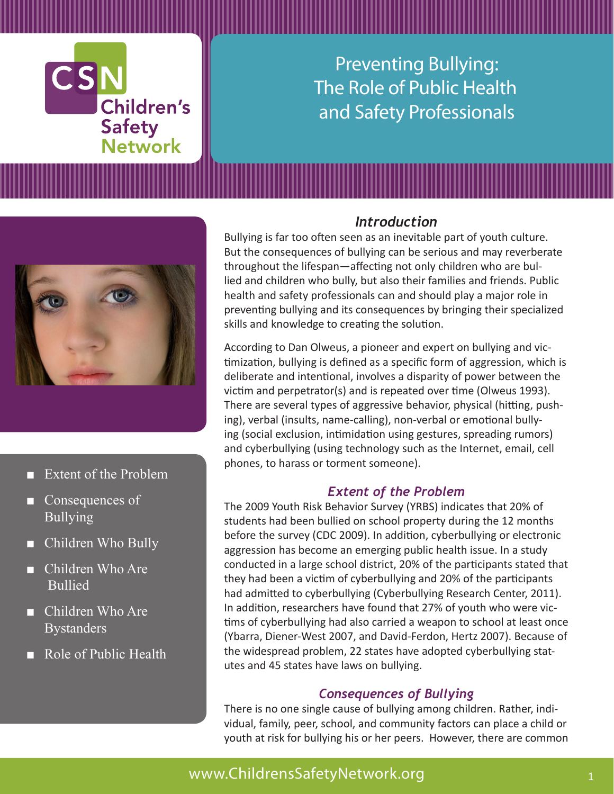

Preventing Bullying: The Role of Public Health and Safety Professionals



- Extent of the Problem
- Consequences of Bullying
- Children Who Bully
- Children Who Are Bullied
- Children Who Are **Bystanders**
- Role of Public Health

#### *Introduction*

Bullying is far too often seen as an inevitable part of youth culture. But the consequences of bullying can be serious and may reverberate throughout the lifespan—affecting not only children who are bullied and children who bully, but also their families and friends. Public health and safety professionals can and should play a major role in preventing bullying and its consequences by bringing their specialized skills and knowledge to creating the solution.

According to Dan Olweus, a pioneer and expert on bullying and victimization, bullying is defined as a specific form of aggression, which is deliberate and intentional, involves a disparity of power between the victim and perpetrator(s) and is repeated over time (Olweus 1993). There are several types of aggressive behavior, physical (hitting, pushing), verbal (insults, name-calling), non-verbal or emotional bullying (social exclusion, intimidation using gestures, spreading rumors) and cyberbullying (using technology such as the Internet, email, cell phones, to harass or torment someone).

#### *Extent of the Problem*

The 2009 Youth Risk Behavior Survey (YRBS) indicates that 20% of students had been bullied on school property during the 12 months before the survey (CDC 2009). In addition, cyberbullying or electronic aggression has become an emerging public health issue. In a study conducted in a large school district, 20% of the participants stated that they had been a victim of cyberbullying and 20% of the participants had admitted to cyberbullying (Cyberbullying Research Center, 2011). In addition, researchers have found that 27% of youth who were victims of cyberbullying had also carried a weapon to school at least once (Ybarra, Diener-West 2007, and David-Ferdon, Hertz 2007). Because of the widespread problem, 22 states have adopted cyberbullying statutes and 45 states have laws on bullying.

#### *Consequences of Bullying*

There is no one single cause of bullying among children. Rather, individual, family, peer, school, and community factors can place a child or youth at risk for bullying his or her peers. However, there are common

# www.ChildrensSafetyNetwork.org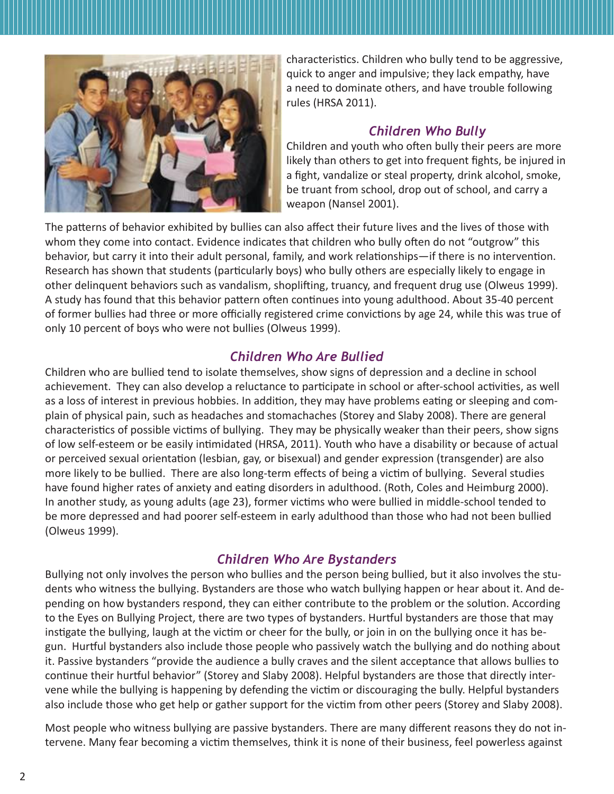

characteristics. Children who bully tend to be aggressive, quick to anger and impulsive; they lack empathy, have a need to dominate others, and have trouble following rules (HRSA 2011).

#### *Children Who Bully*

Children and youth who often bully their peers are more likely than others to get into frequent fights, be injured in a fight, vandalize or steal property, drink alcohol, smoke, be truant from school, drop out of school, and carry a weapon (Nansel 2001).

The patterns of behavior exhibited by bullies can also affect their future lives and the lives of those with whom they come into contact. Evidence indicates that children who bully often do not "outgrow" this behavior, but carry it into their adult personal, family, and work relationships—if there is no intervention. Research has shown that students (particularly boys) who bully others are especially likely to engage in other delinquent behaviors such as vandalism, shoplifting, truancy, and frequent drug use (Olweus 1999). A study has found that this behavior pattern often continues into young adulthood. About 35-40 percent of former bullies had three or more officially registered crime convictions by age 24, while this was true of only 10 percent of boys who were not bullies (Olweus 1999).

#### *Children Who Are Bullied*

Children who are bullied tend to isolate themselves, show signs of depression and a decline in school achievement. They can also develop a reluctance to participate in school or after-school activities, as well as a loss of interest in previous hobbies. In addition, they may have problems eating or sleeping and complain of physical pain, such as headaches and stomachaches (Storey and Slaby 2008). There are general characteristics of possible victims of bullying. They may be physically weaker than their peers, show signs of low self-esteem or be easily intimidated (HRSA, 2011). Youth who have a disability or because of actual or perceived sexual orientation (lesbian, gay, or bisexual) and gender expression (transgender) are also more likely to be bullied. There are also long-term effects of being a victim of bullying. Several studies have found higher rates of anxiety and eating disorders in adulthood. (Roth, Coles and Heimburg 2000). In another study, as young adults (age 23), former victims who were bullied in middle-school tended to be more depressed and had poorer self-esteem in early adulthood than those who had not been bullied (Olweus 1999).

## *Children Who Are Bystanders*

Bullying not only involves the person who bullies and the person being bullied, but it also involves the students who witness the bullying. Bystanders are those who watch bullying happen or hear about it. And depending on how bystanders respond, they can either contribute to the problem or the solution. According to the Eyes on Bullying Project, there are two types of bystanders. Hurtful bystanders are those that may instigate the bullying, laugh at the victim or cheer for the bully, or join in on the bullying once it has begun. Hurtful bystanders also include those people who passively watch the bullying and do nothing about it. Passive bystanders "provide the audience a bully craves and the silent acceptance that allows bullies to continue their hurtful behavior" (Storey and Slaby 2008). Helpful bystanders are those that directly intervene while the bullying is happening by defending the victim or discouraging the bully. Helpful bystanders also include those who get help or gather support for the victim from other peers (Storey and Slaby 2008).

Most people who witness bullying are passive bystanders. There are many different reasons they do not intervene. Many fear becoming a victim themselves, think it is none of their business, feel powerless against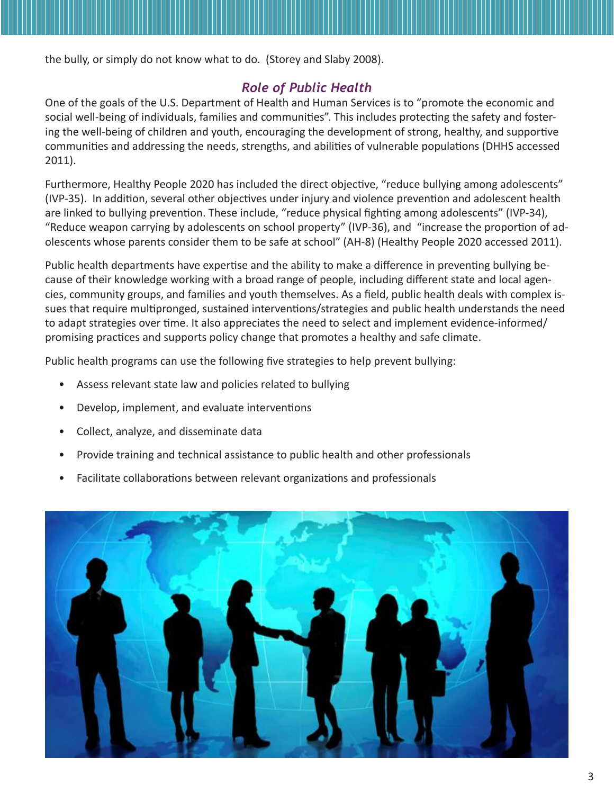the bully, or simply do not know what to do. (Storey and Slaby 2008).

#### *Role of Public Health*

One of the goals of the U.S. Department of Health and Human Services is to "promote the economic and social well-being of individuals, families and communities". This includes protecting the safety and fostering the well-being of children and youth, encouraging the development of strong, healthy, and supportive communities and addressing the needs, strengths, and abilities of vulnerable populations (DHHS accessed 2011).

Furthermore, Healthy People 2020 has included the direct objective, "reduce bullying among adolescents" (IVP-35). In addition, several other objectives under injury and violence prevention and adolescent health are linked to bullying prevention. These include, "reduce physical fighting among adolescents" (IVP-34), "Reduce weapon carrying by adolescents on school property" (IVP-36), and "increase the proportion of adolescents whose parents consider them to be safe at school" (AH-8) (Healthy People 2020 accessed 2011).

Public health departments have expertise and the ability to make a difference in preventing bullying because of their knowledge working with a broad range of people, including different state and local agencies, community groups, and families and youth themselves. As a field, public health deals with complex issues that require multipronged, sustained interventions/strategies and public health understands the need to adapt strategies over time. It also appreciates the need to select and implement evidence-informed/ promising practices and supports policy change that promotes a healthy and safe climate.

Public health programs can use the following five strategies to help prevent bullying:

- Assess relevant state law and policies related to bullying
- Develop, implement, and evaluate interventions
- Collect, analyze, and disseminate data
- Provide training and technical assistance to public health and other professionals
- Facilitate collaborations between relevant organizations and professionals

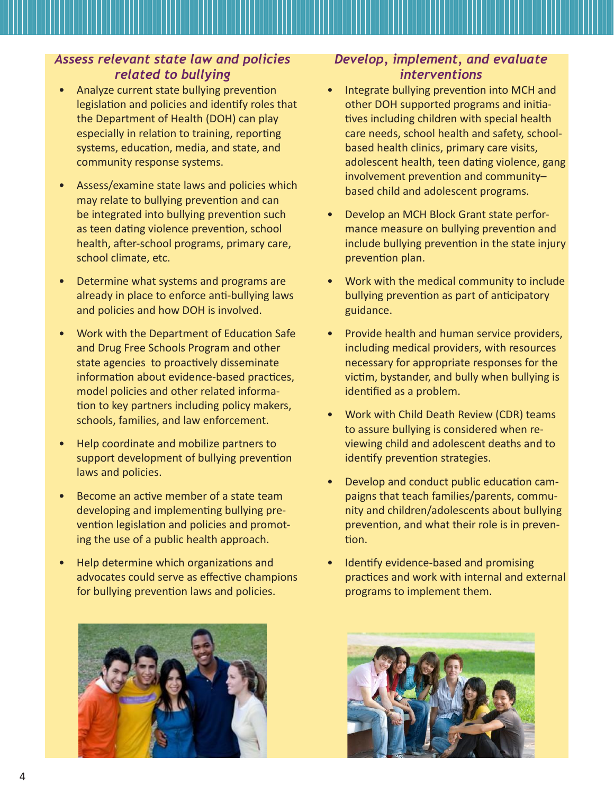#### *Assess relevant state law and policies related to bullying*

- Analyze current state bullying prevention legislation and policies and identify roles that the Department of Health (DOH) can play especially in relation to training, reporting systems, education, media, and state, and community response systems.
- Assess/examine state laws and policies which may relate to bullying prevention and can be integrated into bullying prevention such as teen dating violence prevention, school health, after-school programs, primary care, school climate, etc.
- Determine what systems and programs are already in place to enforce anti-bullying laws and policies and how DOH is involved.
- Work with the Department of Education Safe and Drug Free Schools Program and other state agencies to proactively disseminate information about evidence-based practices, model policies and other related information to key partners including policy makers, schools, families, and law enforcement.
- Help coordinate and mobilize partners to support development of bullying prevention laws and policies.
- Become an active member of a state team developing and implementing bullying prevention legislation and policies and promoting the use of a public health approach.
- Help determine which organizations and advocates could serve as effective champions for bullying prevention laws and policies.



### *Develop, implement, and evaluate interventions*

- Integrate bullying prevention into MCH and other DOH supported programs and initiatives including children with special health care needs, school health and safety, schoolbased health clinics, primary care visits, adolescent health, teen dating violence, gang involvement prevention and community– based child and adolescent programs.
- Develop an MCH Block Grant state performance measure on bullying prevention and include bullying prevention in the state injury prevention plan.
- Work with the medical community to include bullying prevention as part of anticipatory guidance.
- Provide health and human service providers, including medical providers, with resources necessary for appropriate responses for the victim, bystander, and bully when bullying is identified as a problem.
- Work with Child Death Review (CDR) teams to assure bullying is considered when reviewing child and adolescent deaths and to identify prevention strategies.
- Develop and conduct public education campaigns that teach families/parents, community and children/adolescents about bullying prevention, and what their role is in prevention.
- Identify evidence-based and promising practices and work with internal and external programs to implement them.

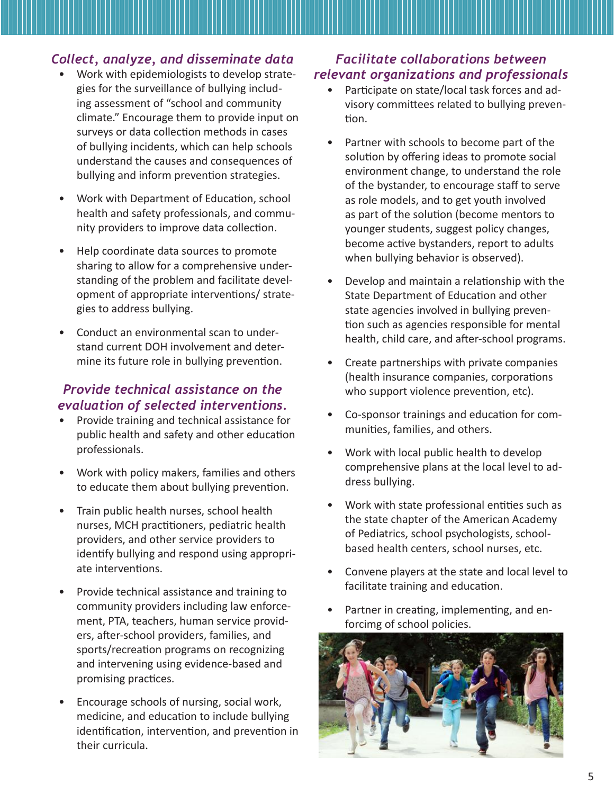#### *Collect, analyze, and disseminate data*

- Work with epidemiologists to develop strategies for the surveillance of bullying including assessment of "school and community climate." Encourage them to provide input on surveys or data collection methods in cases of bullying incidents, which can help schools understand the causes and consequences of bullying and inform prevention strategies.
- Work with Department of Education, school health and safety professionals, and community providers to improve data collection.
- Help coordinate data sources to promote sharing to allow for a comprehensive understanding of the problem and facilitate development of appropriate interventions/ strategies to address bullying.
- Conduct an environmental scan to understand current DOH involvement and determine its future role in bullying prevention.

#### *Provide technical assistance on the evaluation of selected interventions.*

- Provide training and technical assistance for public health and safety and other education professionals.
- Work with policy makers, families and others to educate them about bullying prevention.
- Train public health nurses, school health nurses, MCH practitioners, pediatric health providers, and other service providers to identify bullying and respond using appropriate interventions.
- Provide technical assistance and training to community providers including law enforcement, PTA, teachers, human service providers, after-school providers, families, and sports/recreation programs on recognizing and intervening using evidence-based and promising practices.
- Encourage schools of nursing, social work, medicine, and education to include bullying identification, intervention, and prevention in their curricula.

## *Facilitate collaborations between relevant organizations and professionals*

- Participate on state/local task forces and advisory committees related to bullying prevention.
- Partner with schools to become part of the solution by offering ideas to promote social environment change, to understand the role of the bystander, to encourage staff to serve as role models, and to get youth involved as part of the solution (become mentors to younger students, suggest policy changes, become active bystanders, report to adults when bullying behavior is observed).
- Develop and maintain a relationship with the State Department of Education and other state agencies involved in bullying prevention such as agencies responsible for mental health, child care, and after-school programs.
- Create partnerships with private companies (health insurance companies, corporations who support violence prevention, etc).
- Co-sponsor trainings and education for communities, families, and others.
- Work with local public health to develop comprehensive plans at the local level to address bullying.
- Work with state professional entities such as the state chapter of the American Academy of Pediatrics, school psychologists, schoolbased health centers, school nurses, etc.
- Convene players at the state and local level to facilitate training and education.
- Partner in creating, implementing, and enforcimg of school policies.

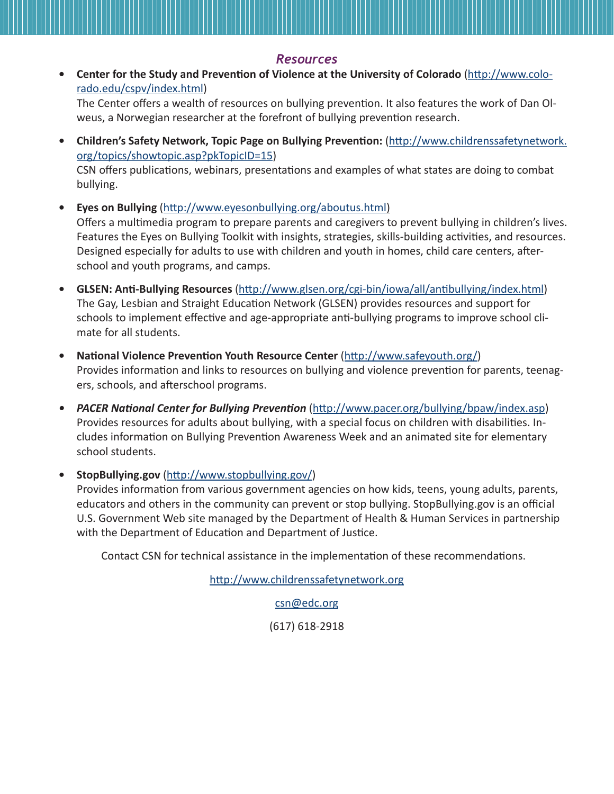#### *Resources*

**• Center for the Study and Prevention of Violence at the University of Colorado** (http://www.colorado.edu/cspv/index.html)

The Center offers a wealth of resources on bullying prevention. It also features the work of Dan Olweus, a Norwegian researcher at the forefront of bullying prevention research.

- **• Children's Safety Network, Topic Page on Bullying Prevention:** (http://www.childrenssafetynetwork. org/topics/showtopic.asp?pkTopicID=15) CSN offers publications, webinars, presentations and examples of what states are doing to combat bullying.
- **• Eyes on Bullying** (http://www.eyesonbullying.org/aboutus.html) Offers a multimedia program to prepare parents and caregivers to prevent bullying in children's lives. Features the Eyes on Bullying Toolkit with insights, strategies, skills-building activities, and resources. Designed especially for adults to use with children and youth in homes, child care centers, afterschool and youth programs, and camps.
- **• GLSEN: Anti-Bullying Resources** (http://www.glsen.org/cgi-bin/iowa/all/antibullying/index.html) The Gay, Lesbian and Straight Education Network (GLSEN) provides resources and support for schools to implement effective and age-appropriate anti-bullying programs to improve school climate for all students.
- **• National Violence Prevention Youth Resource Center** (http://www.safeyouth.org/) Provides information and links to resources on bullying and violence prevention for parents, teenagers, schools, and afterschool programs.
- *• PACER National Center for Bullying Prevention* (http://www.pacer.org/bullying/bpaw/index.asp) Provides resources for adults about bullying, with a special focus on children with disabilities. Includes information on Bullying Prevention Awareness Week and an animated site for elementary school students.

**• StopBullying.gov** (http://www.stopbullying.gov/)

Provides information from various government agencies on how kids, teens, young adults, parents, educators and others in the community can prevent or stop bullying. StopBullying.gov is an official U.S. Government Web site managed by the Department of Health & Human Services in partnership with the Department of Education and Department of Justice.

Contact CSN for technical assistance in the implementation of these recommendations.

http://www.childrenssafetynetwork.org

csn@edc.org

(617) 618-2918